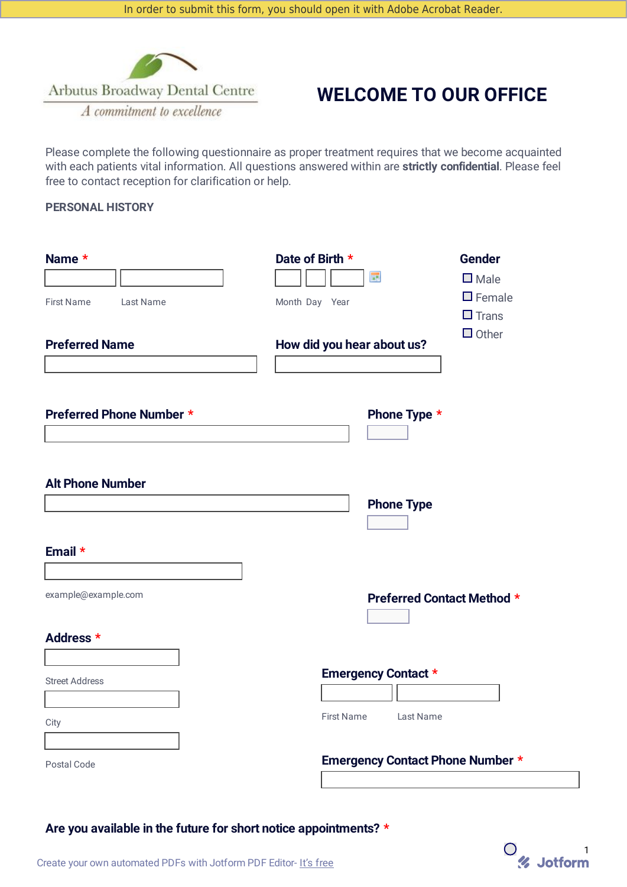

# **WELCOME TO OUR OFFICE**

Please complete the following questionnaire as proper treatment requires that we become acquainted with each patients vital information. All questions answered within are **strictly confidential**. Please feel free to contact reception for clarification or help.

# **PERSONAL HISTORY**

| Name *                         | Date of Birth *<br><b>Gender</b><br><b>III</b><br>$\square$ Male |
|--------------------------------|------------------------------------------------------------------|
| <b>First Name</b><br>Last Name | $\Box$ Female<br>Month Day Year<br>$\Box$ Trans                  |
| <b>Preferred Name</b>          | $\Box$ Other<br>How did you hear about us?                       |
| Preferred Phone Number *       | Phone Type *<br>$\blacktriangledown$                             |
| <b>Alt Phone Number</b>        | <b>Phone Type</b><br>$\mathbf{I}$                                |
| Email *                        |                                                                  |
| example@example.com            | <b>Preferred Contact Method *</b><br>$\mathbf{r}$                |
| Address *                      |                                                                  |
| <b>Street Address</b><br>City  | <b>Emergency Contact *</b><br><b>First Name</b><br>Last Name     |
| Postal Code                    | <b>Emergency Contact Phone Number *</b>                          |

**Are you available in the future for short notice appointments? \***

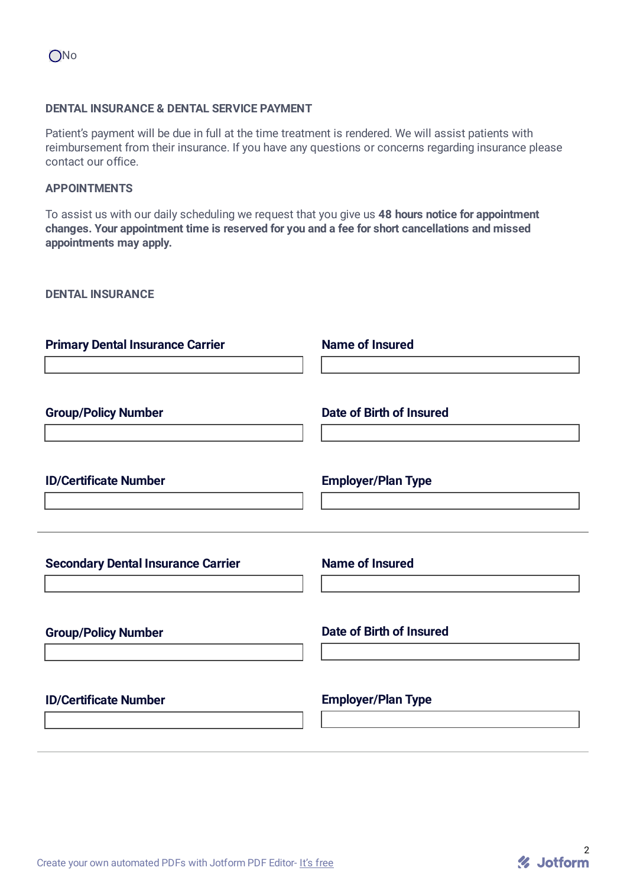#### **DENTAL INSURANCE & DENTAL SERVICE PAYMENT**

Patient's payment will be due in full at the time treatment is rendered. We will assist patients with reimbursement from their insurance. If you have any questions or concerns regarding insurance please contact our office.

#### **APPOINTMENTS**

To assist us with our daily scheduling we request that you give us **48 hours notice for appointment changes. Your appointment time is reserved for you and a fee for short cancellations and missed appointments may apply.**

**DENTAL INSURANCE**

| <b>Primary Dental Insurance Carrier</b>   | <b>Name of Insured</b>    |
|-------------------------------------------|---------------------------|
| <b>Group/Policy Number</b>                | Date of Birth of Insured  |
| <b>ID/Certificate Number</b>              | <b>Employer/Plan Type</b> |
| <b>Secondary Dental Insurance Carrier</b> | <b>Name of Insured</b>    |
| <b>Group/Policy Number</b>                | Date of Birth of Insured  |
| <b>ID/Certificate Number</b>              | <b>Employer/Plan Type</b> |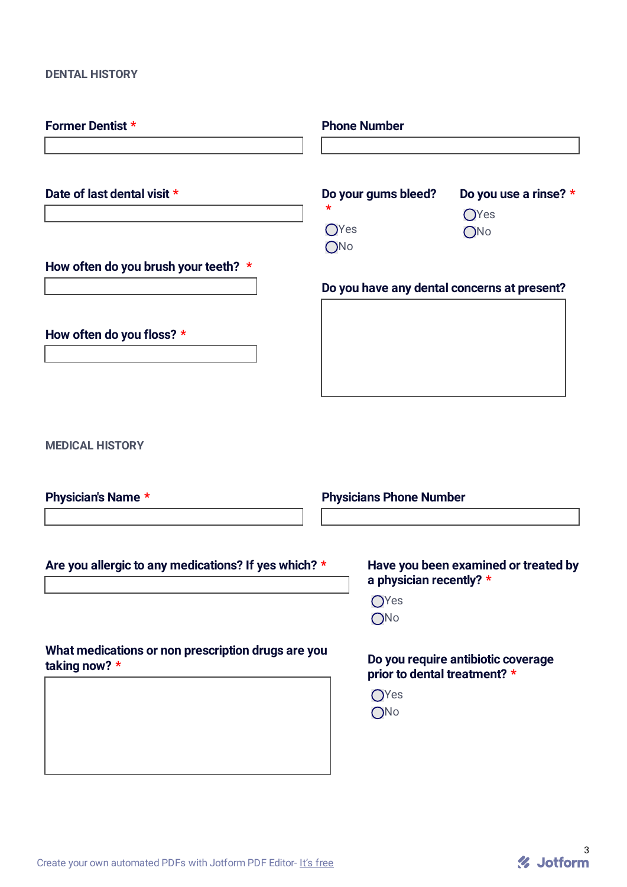# **DENTAL HISTORY**

| <b>Former Dentist *</b>                                               | <b>Phone Number</b>                         |                                             |  |
|-----------------------------------------------------------------------|---------------------------------------------|---------------------------------------------|--|
|                                                                       |                                             |                                             |  |
| Date of last dental visit *                                           | Do your gums bleed?<br><b>O</b> Yes<br>ONo  | Do you use a rinse? *<br><b>OYes</b><br>ONo |  |
| How often do you brush your teeth? *                                  | Do you have any dental concerns at present? |                                             |  |
| How often do you floss? *                                             |                                             |                                             |  |
| <b>MEDICAL HISTORY</b>                                                |                                             |                                             |  |
| Physician's Name *                                                    | <b>Physicians Phone Number</b>              |                                             |  |
| Are you allergic to any medications? If yes which? *                  | a physician recently? *<br>OYes<br>ONo      | Have you been examined or treated by        |  |
| What medications or non prescription drugs are you<br>taking now? $*$ | prior to dental treatment? *<br>OYes<br>ONo | Do you require antibiotic coverage          |  |